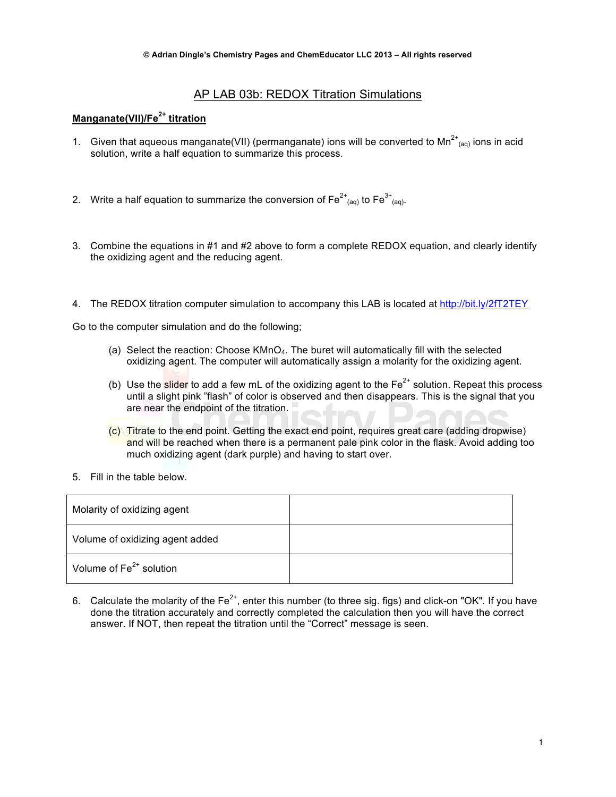## AP LAB 03b: REDOX Titration Simulations

# **Manganate(VII)/Fe2+ titration**

- 1. Given that aqueous manganate(VII) (permanganate) ions will be converted to Mn<sup>2+</sup><sub>(aq)</sub> ions in acid solution, write a half equation to summarize this process.
- 2. Write a half equation to summarize the conversion of Fe<sup>2+</sup><sub>(aq)</sub> to Fe<sup>3+</sup><sub>(aq)</sub>.
- 3. Combine the equations in #1 and #2 above to form a complete REDOX equation, and clearly identify the oxidizing agent and the reducing agent.
- 4. The REDOX titration computer simulation to accompany this LAB is located at http://bit.ly/2fT2TEY

Go to the computer simulation and do the following;

- (a) Select the reaction: Choose  $KMD<sub>4</sub>$ . The buret will automatically fill with the selected oxidizing agent. The computer will automatically assign a molarity for the oxidizing agent.
- (b) Use the slider to add a few mL of the oxidizing agent to the  $Fe<sup>2+</sup>$  solution. Repeat this process until a slight pink "flash" of color is observed and then disappears. This is the signal that you are near the endpoint of the titration.
- (c) Titrate to the end point. Getting the exact end point, requires great care (adding dropwise) and will be reached when there is a permanent pale pink color in the flask. Avoid adding too much oxidizing agent (dark purple) and having to start over.
- 5. Fill in the table below.

| Molarity of oxidizing agent     |  |
|---------------------------------|--|
| Volume of oxidizing agent added |  |
| Volume of $Fe2+$ solution       |  |

6. Calculate the molarity of the  $Fe^{2+}$ , enter this number (to three sig. figs) and click-on "OK". If you have done the titration accurately and correctly completed the calculation then you will have the correct answer. If NOT, then repeat the titration until the "Correct" message is seen.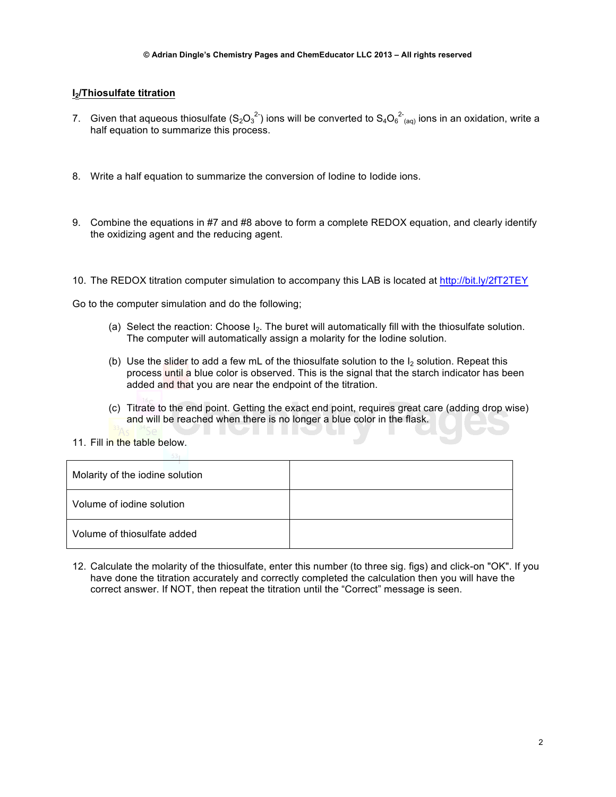#### **I2/Thiosulfate titration**

- 7. Given that aqueous thiosulfate (S<sub>2</sub>O<sub>3</sub><sup>2</sup>) ions will be converted to S<sub>4</sub>O<sub>6</sub><sup>2</sup><sub>(aq)</sub> ions in an oxidation, write a half equation to summarize this process.
- 8. Write a half equation to summarize the conversion of Iodine to Iodide ions.
- 9. Combine the equations in #7 and #8 above to form a complete REDOX equation, and clearly identify the oxidizing agent and the reducing agent.
- 10. The REDOX titration computer simulation to accompany this LAB is located at http://bit.ly/2fT2TEY

Go to the computer simulation and do the following;

- (a) Select the reaction: Choose  $I_2$ . The buret will automatically fill with the thiosulfate solution. The computer will automatically assign a molarity for the Iodine solution.
- (b) Use the slider to add a few mL of the thiosulfate solution to the  $I_2$  solution. Repeat this process until a blue color is observed. This is the signal that the starch indicator has been added and that you are near the endpoint of the titration.
- (c) Titrate to the end point. Getting the exact end point, requires great care (adding drop wise) and will be reached when there is no longer a blue color in the flask. II DI II D
- 11. Fill in the table below.

| Molarity of the iodine solution |  |
|---------------------------------|--|
| Volume of jodine solution       |  |
| Volume of thiosulfate added     |  |

12. Calculate the molarity of the thiosulfate, enter this number (to three sig. figs) and click-on "OK". If you have done the titration accurately and correctly completed the calculation then you will have the correct answer. If NOT, then repeat the titration until the "Correct" message is seen.